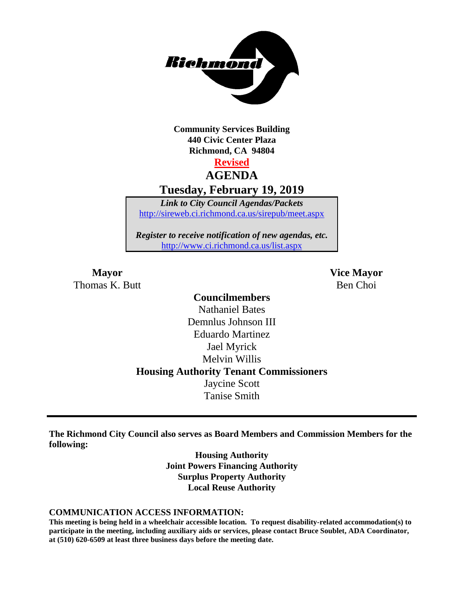

**Community Services Building 440 Civic Center Plaza Richmond, CA 94804**

### **Revised AGENDA Tuesday, February 19, 2019**

*Link to City Council Agendas/Packets* <http://sireweb.ci.richmond.ca.us/sirepub/meet.aspx>

*Register to receive notification of new agendas, etc.* <http://www.ci.richmond.ca.us/list.aspx>

**Mayor Vice Mayor** Thomas K. Butt Ben Choi and Ben Choi Ben Choi Ben Choi Ben Choi Ben Choi Ben Choi Ben Choi Ben Choi Ben Choi Ben Choi Ben Choi Ben Choi Ben Choi Ben Choi Ben Choi Ben Choi Ben Choi Ben Choi Ben Choi Ben Choi Ben Choi Ben C

**Councilmembers** Nathaniel Bates Demnlus Johnson III Eduardo Martinez Jael Myrick Melvin Willis **Housing Authority Tenant Commissioners** Jaycine Scott Tanise Smith

**The Richmond City Council also serves as Board Members and Commission Members for the following:**

> **Housing Authority Joint Powers Financing Authority Surplus Property Authority Local Reuse Authority**

#### **COMMUNICATION ACCESS INFORMATION:**

**This meeting is being held in a wheelchair accessible location. To request disability-related accommodation(s) to participate in the meeting, including auxiliary aids or services, please contact Bruce Soublet, ADA Coordinator, at (510) 620-6509 at least three business days before the meeting date.**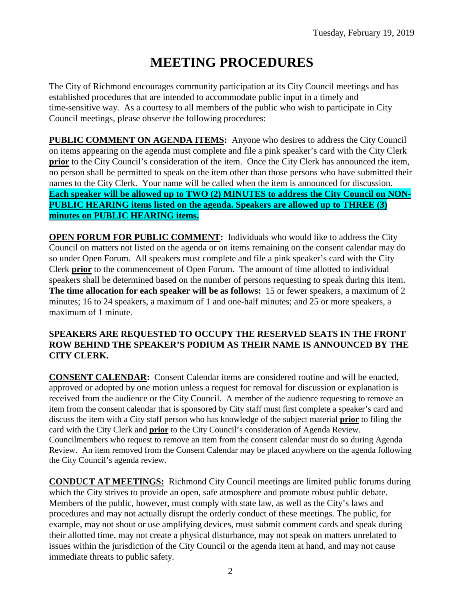# **MEETING PROCEDURES**

The City of Richmond encourages community participation at its City Council meetings and has established procedures that are intended to accommodate public input in a timely and time-sensitive way. As a courtesy to all members of the public who wish to participate in City Council meetings, please observe the following procedures:

**PUBLIC COMMENT ON AGENDA ITEMS:** Anyone who desires to address the City Council on items appearing on the agenda must complete and file a pink speaker's card with the City Clerk **prior** to the City Council's consideration of the item. Once the City Clerk has announced the item, no person shall be permitted to speak on the item other than those persons who have submitted their names to the City Clerk. Your name will be called when the item is announced for discussion. **Each speaker will be allowed up to TWO (2) MINUTES to address the City Council on NON-PUBLIC HEARING items listed on the agenda. Speakers are allowed up to THREE (3) minutes on PUBLIC HEARING items.**

**OPEN FORUM FOR PUBLIC COMMENT:** Individuals who would like to address the City Council on matters not listed on the agenda or on items remaining on the consent calendar may do so under Open Forum. All speakers must complete and file a pink speaker's card with the City Clerk **prior** to the commencement of Open Forum. The amount of time allotted to individual speakers shall be determined based on the number of persons requesting to speak during this item. **The time allocation for each speaker will be as follows:** 15 or fewer speakers, a maximum of 2 minutes; 16 to 24 speakers, a maximum of 1 and one-half minutes; and 25 or more speakers, a maximum of 1 minute.

### **SPEAKERS ARE REQUESTED TO OCCUPY THE RESERVED SEATS IN THE FRONT ROW BEHIND THE SPEAKER'S PODIUM AS THEIR NAME IS ANNOUNCED BY THE CITY CLERK.**

**CONSENT CALENDAR:** Consent Calendar items are considered routine and will be enacted, approved or adopted by one motion unless a request for removal for discussion or explanation is received from the audience or the City Council. A member of the audience requesting to remove an item from the consent calendar that is sponsored by City staff must first complete a speaker's card and discuss the item with a City staff person who has knowledge of the subject material **prior** to filing the card with the City Clerk and **prior** to the City Council's consideration of Agenda Review. Councilmembers who request to remove an item from the consent calendar must do so during Agenda Review. An item removed from the Consent Calendar may be placed anywhere on the agenda following the City Council's agenda review.

**CONDUCT AT MEETINGS:** Richmond City Council meetings are limited public forums during which the City strives to provide an open, safe atmosphere and promote robust public debate. Members of the public, however, must comply with state law, as well as the City's laws and procedures and may not actually disrupt the orderly conduct of these meetings. The public, for example, may not shout or use amplifying devices, must submit comment cards and speak during their allotted time, may not create a physical disturbance, may not speak on matters unrelated to issues within the jurisdiction of the City Council or the agenda item at hand, and may not cause immediate threats to public safety.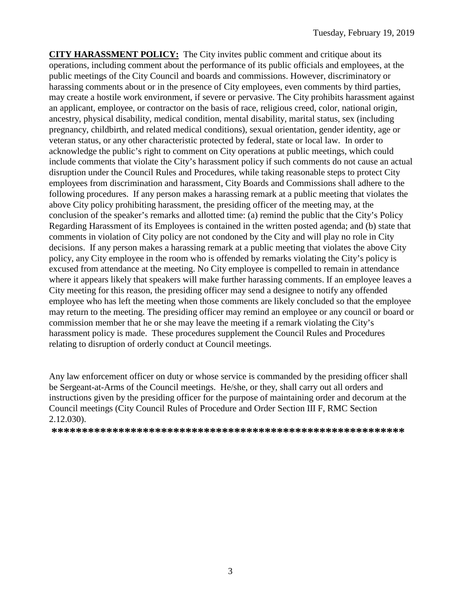**CITY HARASSMENT POLICY:** The City invites public comment and critique about its operations, including comment about the performance of its public officials and employees, at the public meetings of the City Council and boards and commissions. However, discriminatory or harassing comments about or in the presence of City employees, even comments by third parties, may create a hostile work environment, if severe or pervasive. The City prohibits harassment against an applicant, employee, or contractor on the basis of race, religious creed, color, national origin, ancestry, physical disability, medical condition, mental disability, marital status, sex (including pregnancy, childbirth, and related medical conditions), sexual orientation, gender identity, age or veteran status, or any other characteristic protected by federal, state or local law. In order to acknowledge the public's right to comment on City operations at public meetings, which could include comments that violate the City's harassment policy if such comments do not cause an actual disruption under the Council Rules and Procedures, while taking reasonable steps to protect City employees from discrimination and harassment, City Boards and Commissions shall adhere to the following procedures. If any person makes a harassing remark at a public meeting that violates the above City policy prohibiting harassment, the presiding officer of the meeting may, at the conclusion of the speaker's remarks and allotted time: (a) remind the public that the City's Policy Regarding Harassment of its Employees is contained in the written posted agenda; and (b) state that comments in violation of City policy are not condoned by the City and will play no role in City decisions. If any person makes a harassing remark at a public meeting that violates the above City policy, any City employee in the room who is offended by remarks violating the City's policy is excused from attendance at the meeting. No City employee is compelled to remain in attendance where it appears likely that speakers will make further harassing comments. If an employee leaves a City meeting for this reason, the presiding officer may send a designee to notify any offended employee who has left the meeting when those comments are likely concluded so that the employee may return to the meeting. The presiding officer may remind an employee or any council or board or commission member that he or she may leave the meeting if a remark violating the City's harassment policy is made. These procedures supplement the Council Rules and Procedures relating to disruption of orderly conduct at Council meetings.

Any law enforcement officer on duty or whose service is commanded by the presiding officer shall be Sergeant-at-Arms of the Council meetings. He/she, or they, shall carry out all orders and instructions given by the presiding officer for the purpose of maintaining order and decorum at the Council meetings (City Council Rules of Procedure and Order Section III F, RMC Section 2.12.030).

**\*\*\*\*\*\*\*\*\*\*\*\*\*\*\*\*\*\*\*\*\*\*\*\*\*\*\*\*\*\*\*\*\*\*\*\*\*\*\*\*\*\*\*\*\*\*\*\*\*\*\*\*\*\*\*\*\*\***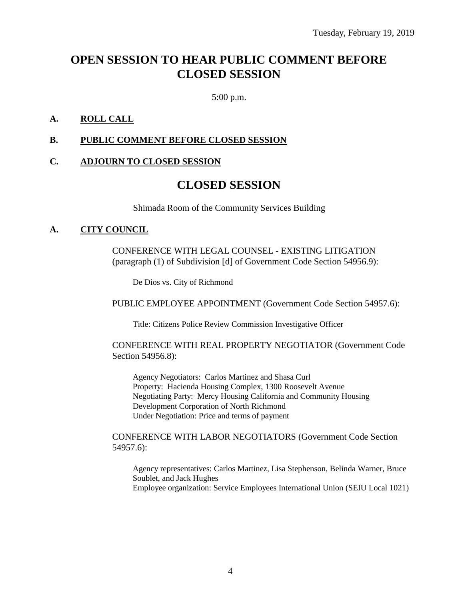# **OPEN SESSION TO HEAR PUBLIC COMMENT BEFORE CLOSED SESSION**

5:00 p.m.

### **A. ROLL CALL**

### **B. PUBLIC COMMENT BEFORE CLOSED SESSION**

### **C. ADJOURN TO CLOSED SESSION**

### **CLOSED SESSION**

Shimada Room of the Community Services Building

### **A. CITY COUNCIL**

CONFERENCE WITH LEGAL COUNSEL - EXISTING LITIGATION (paragraph (1) of Subdivision [d] of Government Code Section 54956.9):

De Dios vs. City of Richmond

PUBLIC EMPLOYEE APPOINTMENT (Government Code Section 54957.6):

Title: Citizens Police Review Commission Investigative Officer

CONFERENCE WITH REAL PROPERTY NEGOTIATOR (Government Code Section 54956.8):

Agency Negotiators: Carlos Martinez and Shasa Curl Property: Hacienda Housing Complex, 1300 Roosevelt Avenue Negotiating Party: Mercy Housing California and Community Housing Development Corporation of North Richmond Under Negotiation: Price and terms of payment

#### CONFERENCE WITH LABOR NEGOTIATORS (Government Code Section 54957.6):

Agency representatives: Carlos Martinez, Lisa Stephenson, Belinda Warner, Bruce Soublet, and Jack Hughes Employee organization: Service Employees International Union (SEIU Local 1021)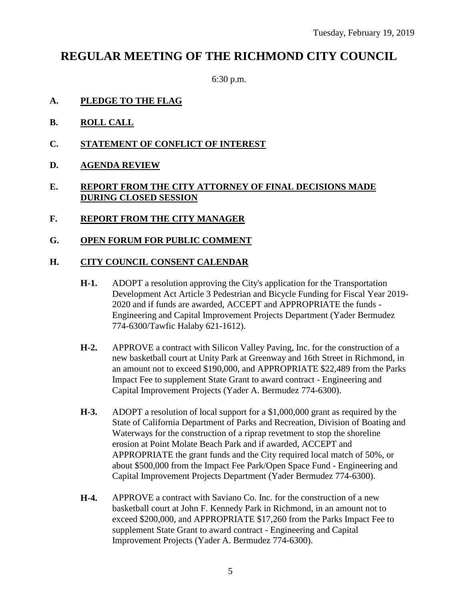## **REGULAR MEETING OF THE RICHMOND CITY COUNCIL**

6:30 p.m.

- **A. PLEDGE TO THE FLAG**
- **B. ROLL CALL**
- **C. STATEMENT OF CONFLICT OF INTEREST**
- **D. AGENDA REVIEW**

### **E. REPORT FROM THE CITY ATTORNEY OF FINAL DECISIONS MADE DURING CLOSED SESSION**

- **F. REPORT FROM THE CITY MANAGER**
- **G. OPEN FORUM FOR PUBLIC COMMENT**

### **H. CITY COUNCIL CONSENT CALENDAR**

- **H-1.** ADOPT a resolution approving the City's application for the Transportation Development Act Article 3 Pedestrian and Bicycle Funding for Fiscal Year 2019- 2020 and if funds are awarded, ACCEPT and APPROPRIATE the funds - Engineering and Capital Improvement Projects Department (Yader Bermudez 774-6300/Tawfic Halaby 621-1612).
- **H-2.** APPROVE a contract with Silicon Valley Paving, Inc. for the construction of a new basketball court at Unity Park at Greenway and 16th Street in Richmond, in an amount not to exceed \$190,000, and APPROPRIATE \$22,489 from the Parks Impact Fee to supplement State Grant to award contract - Engineering and Capital Improvement Projects (Yader A. Bermudez 774-6300).
- **H-3.** ADOPT a resolution of local support for a \$1,000,000 grant as required by the State of California Department of Parks and Recreation, Division of Boating and Waterways for the construction of a riprap revetment to stop the shoreline erosion at Point Molate Beach Park and if awarded, ACCEPT and APPROPRIATE the grant funds and the City required local match of 50%, or about \$500,000 from the Impact Fee Park/Open Space Fund - Engineering and Capital Improvement Projects Department (Yader Bermudez 774-6300).
- **H-4.** APPROVE a contract with Saviano Co. Inc. for the construction of a new basketball court at John F. Kennedy Park in Richmond, in an amount not to exceed \$200,000, and APPROPRIATE \$17,260 from the Parks Impact Fee to supplement State Grant to award contract - Engineering and Capital Improvement Projects (Yader A. Bermudez 774-6300).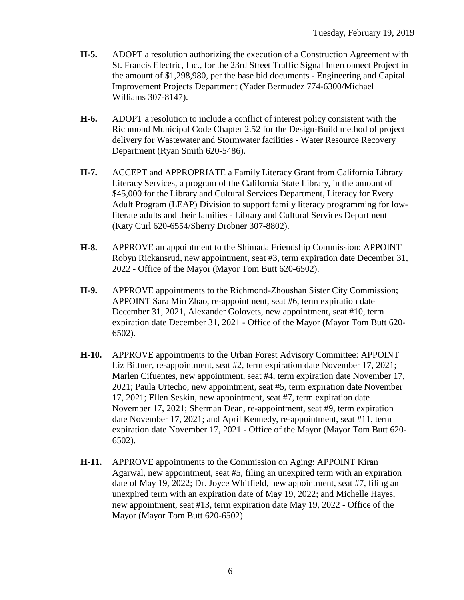- **H-5.** ADOPT a resolution authorizing the execution of a Construction Agreement with St. Francis Electric, Inc., for the 23rd Street Traffic Signal Interconnect Project in the amount of \$1,298,980, per the base bid documents - Engineering and Capital Improvement Projects Department (Yader Bermudez 774-6300/Michael Williams 307-8147).
- **H-6.** ADOPT a resolution to include a conflict of interest policy consistent with the Richmond Municipal Code Chapter 2.52 for the Design-Build method of project delivery for Wastewater and Stormwater facilities - Water Resource Recovery Department (Ryan Smith 620-5486).
- **H-7.** ACCEPT and APPROPRIATE a Family Literacy Grant from California Library Literacy Services, a program of the California State Library, in the amount of \$45,000 for the Library and Cultural Services Department, Literacy for Every Adult Program (LEAP) Division to support family literacy programming for lowliterate adults and their families - Library and Cultural Services Department (Katy Curl 620-6554/Sherry Drobner 307-8802).
- **H-8.** APPROVE an appointment to the Shimada Friendship Commission: APPOINT Robyn Rickansrud, new appointment, seat #3, term expiration date December 31, 2022 - Office of the Mayor (Mayor Tom Butt 620-6502).
- **H-9.** APPROVE appointments to the Richmond-Zhoushan Sister City Commission; APPOINT Sara Min Zhao, re-appointment, seat #6, term expiration date December 31, 2021, Alexander Golovets, new appointment, seat #10, term expiration date December 31, 2021 - Office of the Mayor (Mayor Tom Butt 620- 6502).
- **H-10.** APPROVE appointments to the Urban Forest Advisory Committee: APPOINT Liz Bittner, re-appointment, seat #2, term expiration date November 17, 2021; Marlen Cifuentes, new appointment, seat #4, term expiration date November 17, 2021; Paula Urtecho, new appointment, seat #5, term expiration date November 17, 2021; Ellen Seskin, new appointment, seat #7, term expiration date November 17, 2021; Sherman Dean, re-appointment, seat #9, term expiration date November 17, 2021; and April Kennedy, re-appointment, seat #11, term expiration date November 17, 2021 - Office of the Mayor (Mayor Tom Butt 620- 6502).
- **H-11.** APPROVE appointments to the Commission on Aging: APPOINT Kiran Agarwal, new appointment, seat #5, filing an unexpired term with an expiration date of May 19, 2022; Dr. Joyce Whitfield, new appointment, seat #7, filing an unexpired term with an expiration date of May 19, 2022; and Michelle Hayes, new appointment, seat #13, term expiration date May 19, 2022 - Office of the Mayor (Mayor Tom Butt 620-6502).